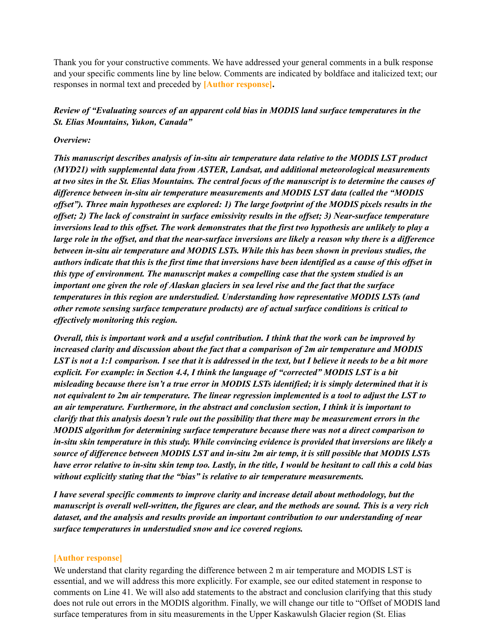Thank you for your constructive comments. We have addressed your general comments in a bulk response and your specific comments line by line below. Comments are indicated by boldface and italicized text; our responses in normal text and preceded by **[Author response].**

## *Review of "Evaluating sources of an apparent cold bias in MODIS land surface temperatures in the St. Elias Mountains, Yukon, Canada"*

#### *Overview:*

*This manuscript describes analysis of in-situ air temperature data relative to the MODIS LST product (MYD21) with supplemental data from ASTER, Landsat, and additional meteorological measurements* at two sites in the St. Elias Mountains. The central focus of the manuscript is to determine the causes of *dif erence between in-situ air temperature measurements and MODIS LST data (called the "MODIS* offset"). Three main hypotheses are explored: 1) The large footprint of the MODIS pixels results in the offset; 2) The lack of constraint in surface emissivity results in the offset; 3) Near-surface temperature inversions lead to this offset. The work demonstrates that the first two hypothesis are unlikely to play a large role in the offset, and that the near-surface inversions are likely a reason why there is a difference *between in-situ air temperature and MODIS LSTs. While this has been shown in previous studies, the* authors indicate that this is the first time that inversions have been identified as a cause of this offset in *this type of environment. The manuscript makes a compelling case that the system studied is an important one given the role of Alaskan glaciers in sea level rise and the fact that the surface temperatures in this region are understudied. Understanding how representative MODIS LSTs (and other remote sensing surface temperature products) are of actual surface conditions is critical to ef ectively monitoring this region.*

Overall, this is important work and a useful contribution. I think that the work can be improved by *increased clarity and discussion about the fact that a comparison of 2m air temperature and MODIS* LST is not a 1:1 comparison. I see that it is addressed in the text, but I believe it needs to be a bit more *explicit. For example: in Section 4.4, I think the language of "corrected" MODIS LST is a bit* misleading because there isn't a true error in MODIS LSTs identified; it is simply determined that it is not equivalent to 2m air temperature. The linear regression implemented is a tool to adjust the LST to *an air temperature. Furthermore, in the abstract and conclusion section, I think it is important to clarify that this analysis doesn't rule out the possibility that there may be measurement errors in the MODIS algorithm for determining surface temperature because there was not a direct comparison to in-situ skin temperature in this study. While convincing evidence is provided that inversions are likely a* source of difference between MODIS LST and in-situ 2m air temp, it is still possible that MODIS LSTs have error relative to in-situ skin temp too. Lastly, in the title, I would be hesitant to call this a cold bias *without explicitly stating that the "bias" is relative to air temperature measurements.*

*I have several specific comments to improve clarity and increase detail about methodology, but the* manuscript is overall well-written, the figures are clear, and the methods are sound. This is a very rich *dataset, and the analysis and results provide an important contribution to our understanding of near surface temperatures in understudied snow and ice covered regions.*

#### **[Author response]**

We understand that clarity regarding the difference between 2 m air temperature and MODIS LST is essential, and we will address this more explicitly. For example, see our edited statement in response to comments on Line 41. We will also add statements to the abstract and conclusion clarifying that this study does not rule out errors in the MODIS algorithm. Finally, we will change our title to "Offset of MODIS land surface temperatures from in situ measurements in the Upper Kaskawulsh Glacier region (St. Elias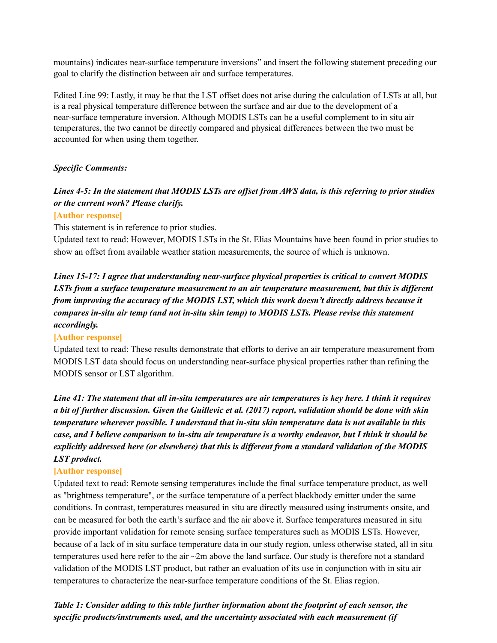mountains) indicates near-surface temperature inversions" and insert the following statement preceding our goal to clarify the distinction between air and surface temperatures.

Edited Line 99: Lastly, it may be that the LST offset does not arise during the calculation of LSTs at all, but is a real physical temperature difference between the surface and air due to the development of a near-surface temperature inversion. Although MODIS LSTs can be a useful complement to in situ air temperatures, the two cannot be directly compared and physical differences between the two must be accounted for when using them together.

## *Specific Comments:*

## Lines 4-5: In the statement that MODIS LSTs are offset from AWS data, is this referring to prior studies *or the current work? Please clarify.*

#### **[Author response]**

This statement is in reference to prior studies.

Updated text to read: However, MODIS LSTs in the St. Elias Mountains have been found in prior studies to show an offset from available weather station measurements, the source of which is unknown.

*Lines 15-17: I agree that understanding near-surface physical properties is critical to convert MODIS LSTs from a surface temperature measurement to an air temperature measurement, but this is dif erent from improving the accuracy of the MODIS LST, which this work doesn't directly address because it compares in-situ air temp (and not in-situ skin temp) to MODIS LSTs. Please revise this statement accordingly.*

#### **[Author response]**

Updated text to read: These results demonstrate that efforts to derive an air temperature measurement from MODIS LST data should focus on understanding near-surface physical properties rather than refining the MODIS sensor or LST algorithm.

Line 41: The statement that all in-situ temperatures are air temperatures is key here. I think it requires a bit of further discussion. Given the Guillevic et al. (2017) report, validation should be done with skin *temperature wherever possible. I understand that in-situ skin temperature data is not available in this* case, and I believe comparison to in-situ air temperature is a worthy endeavor, but I think it should be *explicitly addressed here (or elsewhere) that this is dif erent from a standard validation of the MODIS LST product.*

#### **[Author response]**

Updated text to read: Remote sensing temperatures include the final surface temperature product, as well as "brightness temperature", or the surface temperature of a perfect blackbody emitter under the same conditions. In contrast, temperatures measured in situ are directly measured using instruments onsite, and can be measured for both the earth's surface and the air above it. Surface temperatures measured in situ provide important validation for remote sensing surface temperatures such as MODIS LSTs. However, because of a lack of in situ surface temperature data in our study region, unless otherwise stated, all in situ temperatures used here refer to the air  $\sim$ 2m above the land surface. Our study is therefore not a standard validation of the MODIS LST product, but rather an evaluation of its use in conjunction with in situ air temperatures to characterize the near-surface temperature conditions of the St. Elias region.

*Table 1: Consider adding to this table further information about the footprint of each sensor, the specific products/instruments used, and the uncertainty associated with each measurement (if*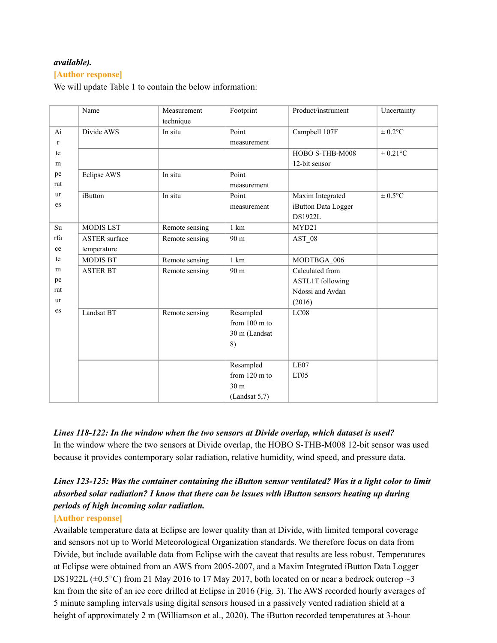## *available).*

#### **[Author response]**

We will update Table 1 to contain the below information:

|              | Name                 | Measurement    | Footprint       | Product/instrument      | Uncertainty  |
|--------------|----------------------|----------------|-----------------|-------------------------|--------------|
|              |                      | technique      |                 |                         |              |
| Ai           | Divide AWS           | In situ        | Point           | Campbell 107F           | $\pm 0.2$ °C |
| $\mathbf{r}$ |                      |                | measurement     |                         |              |
| te           |                      |                |                 | HOBO S-THB-M008         | $\pm$ 0.21°C |
| m            |                      |                |                 | 12-bit sensor           |              |
| pe           | Eclipse AWS          | In situ        | Point           |                         |              |
| rat          |                      |                | measurement     |                         |              |
| ur           | iButton              | In situ        | Point           | Maxim Integrated        | $\pm 0.5$ °C |
| es           |                      |                | measurement     | iButton Data Logger     |              |
|              |                      |                |                 | <b>DS1922L</b>          |              |
| Su           | <b>MODIS LST</b>     | Remote sensing | 1 km            | MYD21                   |              |
| rfa          | <b>ASTER</b> surface | Remote sensing | 90 m            | AST 08                  |              |
| ce           | temperature          |                |                 |                         |              |
| te           | <b>MODIS BT</b>      | Remote sensing | 1 km            | MODTBGA 006             |              |
| m            | <b>ASTER BT</b>      | Remote sensing | 90 m            | Calculated from         |              |
| pe           |                      |                |                 | <b>ASTL1T</b> following |              |
| rat          |                      |                |                 | Ndossi and Avdan        |              |
| ur           |                      |                |                 | (2016)                  |              |
| es           | Landsat BT           | Remote sensing | Resampled       | LC08                    |              |
|              |                      |                | from 100 m to   |                         |              |
|              |                      |                | 30 m (Landsat   |                         |              |
|              |                      |                | 8)              |                         |              |
|              |                      |                |                 |                         |              |
|              |                      |                | Resampled       | LE07                    |              |
|              |                      |                | from 120 m to   | LT <sub>05</sub>        |              |
|              |                      |                | 30 <sub>m</sub> |                         |              |
|              |                      |                | (Landsat 5,7)   |                         |              |

*Lines 118-122: In the window when the two sensors at Divide overlap, which dataset is used?* In the window where the two sensors at Divide overlap, the HOBO S-THB-M008 12-bit sensor was used because it provides contemporary solar radiation, relative humidity, wind speed, and pressure data.

## *Lines 123-125: Was the container containing the iButton sensor ventilated? Was it a light color to limit absorbed solar radiation? I know that there can be issues with iButton sensors heating up during periods of high incoming solar radiation.*

## **[Author response]**

Available temperature data at Eclipse are lower quality than at Divide, with limited temporal coverage and sensors not up to World Meteorological Organization standards. We therefore focus on data from Divide, but include available data from Eclipse with the caveat that results are less robust. Temperatures at Eclipse were obtained from an AWS from 2005-2007, and a Maxim Integrated iButton Data Logger DS1922L ( $\pm$ 0.5°C) from 21 May 2016 to 17 May 2017, both located on or near a bedrock outcrop  $\sim$ 3 km from the site of an ice core drilled at Eclipse in 2016 (Fig. 3). The AWS recorded hourly averages of 5 minute sampling intervals using digital sensors housed in a passively vented radiation shield at a height of approximately 2 m (Williamson et al., 2020). The iButton recorded temperatures at 3-hour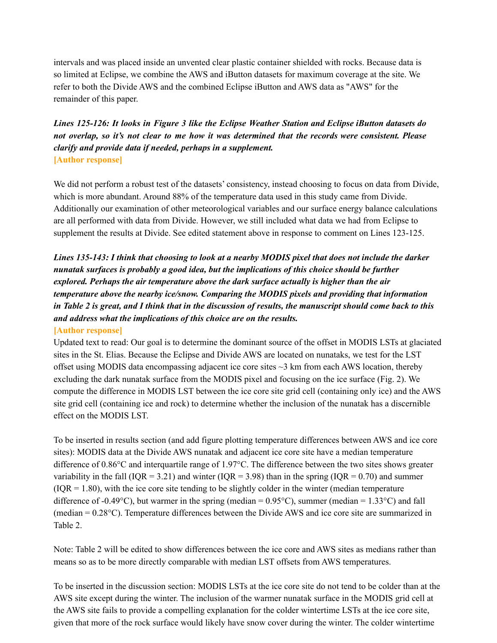intervals and was placed inside an unvented clear plastic container shielded with rocks. Because data is so limited at Eclipse, we combine the AWS and iButton datasets for maximum coverage at the site. We refer to both the Divide AWS and the combined Eclipse iButton and AWS data as "AWS" for the remainder of this paper.

## *Lines 125-126: It looks in Figure 3 like the Eclipse Weather Station and Eclipse iButton datasets do* not overlap, so it's not clear to me how it was determined that the records were consistent. Please *clarify and provide data if needed, perhaps in a supplement.* **[Author response]**

We did not perform a robust test of the datasets' consistency, instead choosing to focus on data from Divide, which is more abundant. Around 88% of the temperature data used in this study came from Divide. Additionally our examination of other meteorological variables and our surface energy balance calculations are all performed with data from Divide. However, we still included what data we had from Eclipse to supplement the results at Divide. See edited statement above in response to comment on Lines 123-125.

# Lines 135-143: I think that choosing to look at a nearby MODIS pixel that does not include the darker *nunatak surfaces is probably a good idea, but the implications of this choice should be further explored. Perhaps the air temperature above the dark surface actually is higher than the air temperature above the nearby ice/snow. Comparing the MODIS pixels and providing that information* in Table 2 is great, and I think that in the discussion of results, the manuscript should come back to this *and address what the implications of this choice are on the results.*

## **[Author response]**

Updated text to read: Our goal is to determine the dominant source of the offset in MODIS LSTs at glaciated sites in the St. Elias. Because the Eclipse and Divide AWS are located on nunataks, we test for the LST offset using MODIS data encompassing adjacent ice core sites ~3 km from each AWS location, thereby excluding the dark nunatak surface from the MODIS pixel and focusing on the ice surface (Fig. 2). We compute the difference in MODIS LST between the ice core site grid cell (containing only ice) and the AWS site grid cell (containing ice and rock) to determine whether the inclusion of the nunatak has a discernible effect on the MODIS LST.

To be inserted in results section (and add figure plotting temperature differences between AWS and ice core sites): MODIS data at the Divide AWS nunatak and adjacent ice core site have a median temperature difference of 0.86°C and interquartile range of 1.97°C. The difference between the two sites shows greater variability in the fall ( $IQR = 3.21$ ) and winter ( $IQR = 3.98$ ) than in the spring ( $IQR = 0.70$ ) and summer  $(IOR = 1.80)$ , with the ice core site tending to be slightly colder in the winter (median temperature difference of -0.49°C), but warmer in the spring (median =  $0.95^{\circ}$ C), summer (median =  $1.33^{\circ}$ C) and fall (median = 0.28°C). Temperature differences between the Divide AWS and ice core site are summarized in Table 2.

Note: Table 2 will be edited to show differences between the ice core and AWS sites as medians rather than means so as to be more directly comparable with median LST offsets from AWS temperatures.

To be inserted in the discussion section: MODIS LSTs at the ice core site do not tend to be colder than at the AWS site except during the winter. The inclusion of the warmer nunatak surface in the MODIS grid cell at the AWS site fails to provide a compelling explanation for the colder wintertime LSTs at the ice core site, given that more of the rock surface would likely have snow cover during the winter. The colder wintertime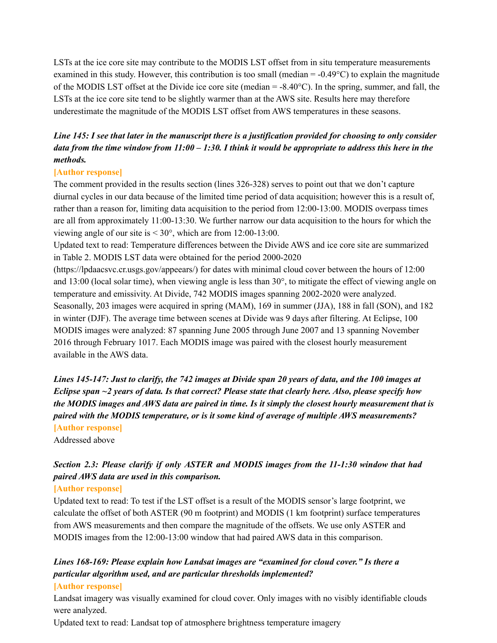LSTs at the ice core site may contribute to the MODIS LST offset from in situ temperature measurements examined in this study. However, this contribution is too small (median  $= -0.49^{\circ}$ C) to explain the magnitude of the MODIS LST offset at the Divide ice core site (median  $= -8.40^{\circ}\text{C}$ ). In the spring, summer, and fall, the LSTs at the ice core site tend to be slightly warmer than at the AWS site. Results here may therefore underestimate the magnitude of the MODIS LST offset from AWS temperatures in these seasons.

## Line 145: I see that later in the manuscript there is a justification provided for choosing to only consider data from the time window from  $11:00 - 1:30$ . I think it would be appropriate to address this here in the *methods.*

## **[Author response]**

The comment provided in the results section (lines 326-328) serves to point out that we don't capture diurnal cycles in our data because of the limited time period of data acquisition; however this is a result of, rather than a reason for, limiting data acquisition to the period from 12:00-13:00. MODIS overpass times are all from approximately 11:00-13:30. We further narrow our data acquisition to the hours for which the viewing angle of our site is  $\leq 30^{\circ}$ , which are from 12:00-13:00.

Updated text to read: Temperature differences between the Divide AWS and ice core site are summarized in Table 2. MODIS LST data were obtained for the period 2000-2020

(https://lpdaacsvc.cr.usgs.gov/appeears/) for dates with minimal cloud cover between the hours of 12:00 and 13:00 (local solar time), when viewing angle is less than 30°, to mitigate the effect of viewing angle on temperature and emissivity. At Divide, 742 MODIS images spanning 2002-2020 were analyzed. Seasonally, 203 images were acquired in spring (MAM), 169 in summer (JJA), 188 in fall (SON), and 182 in winter (DJF). The average time between scenes at Divide was 9 days after filtering. At Eclipse, 100 MODIS images were analyzed: 87 spanning June 2005 through June 2007 and 13 spanning November 2016 through February 1017. Each MODIS image was paired with the closest hourly measurement available in the AWS data.

Lines 145-147; Just to clarify, the 742 images at Divide span 20 years of data, and the 100 images at Eclipse span  $\sim$ 2 years of data. Is that correct? Please state that clearly here. Also, please specify how the MODIS images and AWS data are paired in time. Is it simply the closest hourly measurement that is *paired with the MODIS temperature, or is it some kind of average of multiple AWS measurements?* **[Author response]**

Addressed above

# *Section 2.3: Please clarify if only ASTER and MODIS images from the 11-1:30 window that had paired AWS data are used in this comparison.*

## **[Author response]**

Updated text to read: To test if the LST offset is a result of the MODIS sensor's large footprint, we calculate the offset of both ASTER (90 m footprint) and MODIS (1 km footprint) surface temperatures from AWS measurements and then compare the magnitude of the offsets. We use only ASTER and MODIS images from the 12:00-13:00 window that had paired AWS data in this comparison.

# *Lines 168-169: Please explain how Landsat images are "examined for cloud cover." Is there a particular algorithm used, and are particular thresholds implemented?*

## **[Author response]**

Landsat imagery was visually examined for cloud cover. Only images with no visibly identifiable clouds were analyzed.

Updated text to read: Landsat top of atmosphere brightness temperature imagery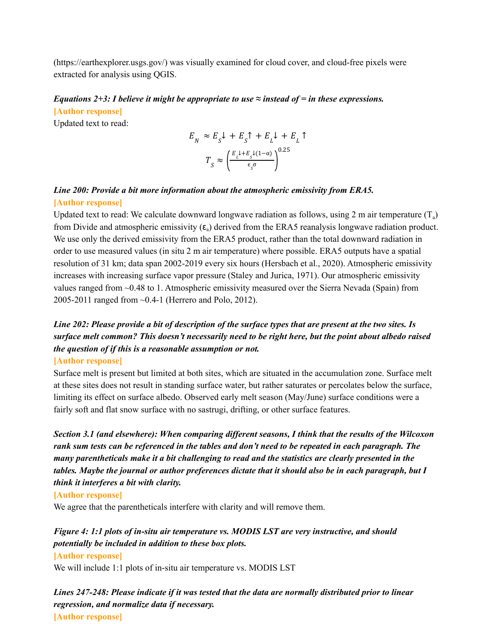(https://earthexplorer.usgs.gov/) was visually examined for cloud cover, and cloud-free pixels were extracted for analysis using QGIS.

## *Equations*  $2+3$ : *I believe it might be appropriate to use*  $\approx$  *instead of*  $=$  *in these expressions.*

**[Author response]**

Updated text to read:

$$
\begin{aligned} E_{_N} &\approx E_{_S}\mathit{l} \; + E_{_S}\mathit{\hat{\Gamma}} \; + E_{_L}\mathit{l} \; + E_{_L}\; \mathit{\hat{\Gamma}} \\ T_{_S} &\approx \left(\frac{E_{_L}\mathit{l} + E_{_S}\mathit{l}(1-\alpha)}{\epsilon_{_S}\sigma}\right)^{0.25} \end{aligned}
$$

## *Line 200: Provide a bit more information about the atmospheric emissivity from ERA5.* **[Author response]**

Updated text to read: We calculate downward longwave radiation as follows, using 2 m air temperature  $(T_a)$ from Divide and atmospheric emissivity  $(\epsilon_a)$  derived from the ERA5 reanalysis longwave radiation product. We use only the derived emissivity from the ERA5 product, rather than the total downward radiation in order to use measured values (in situ 2 m air temperature) where possible. ERA5 outputs have a spatial resolution of 31 km; data span 2002-2019 every six hours (Hersbach et al., 2020). Atmospheric emissivity increases with increasing surface vapor pressure (Staley and Jurica, 1971). Our atmospheric emissivity values ranged from ~0.48 to 1. Atmospheric emissivity measured over the Sierra Nevada (Spain) from 2005-2011 ranged from ~0.4-1 (Herrero and Polo, 2012).

# Line 202: Please provide a bit of description of the surface types that are present at the two sites. Is *surface melt common? This doesn't necessarily need to be right here, but the point about albedo raised the question of if this is a reasonable assumption or not.*

#### **[Author response]**

Surface melt is present but limited at both sites, which are situated in the accumulation zone. Surface melt at these sites does not result in standing surface water, but rather saturates or percolates below the surface, limiting its effect on surface albedo. Observed early melt season (May/June) surface conditions were a fairly soft and flat snow surface with no sastrugi, drifting, or other surface features.

*Section 3.1 (and elsewhere): When comparing dif erent seasons, I think that the results of the Wilcoxon* rank sum tests can be referenced in the tables and don't need to be repeated in each paragraph. The *many parentheticals make it a bit challenging to read and the statistics are clearly presented in the* tables. Maybe the journal or author preferences dictate that it should also be in each paragraph, but I *think it interferes a bit with clarity.*

#### **[Author response]**

We agree that the parentheticals interfere with clarity and will remove them.

# *Figure 4: 1:1 plots of in-situ air temperature vs. MODIS LST are very instructive, and should potentially be included in addition to these box plots.*

## **[Author response]**

We will include 1:1 plots of in-situ air temperature vs. MODIS LST

*Lines 247-248: Please indicate if it was tested that the data are normally distributed prior to linear regression, and normalize data if necessary.* **[Author response]**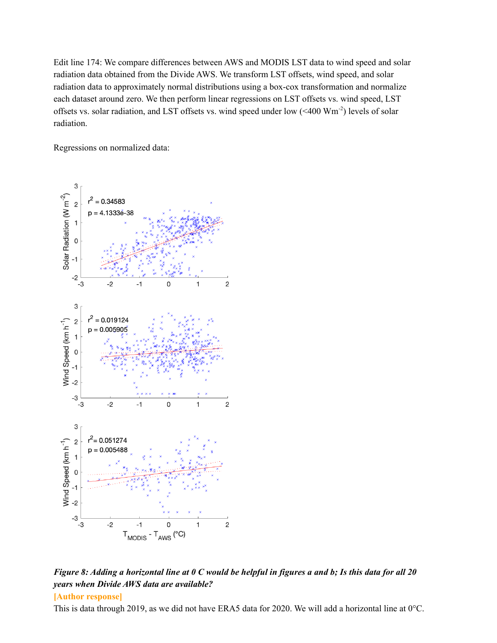Edit line 174: We compare differences between AWS and MODIS LST data to wind speed and solar radiation data obtained from the Divide AWS. We transform LST offsets, wind speed, and solar radiation data to approximately normal distributions using a box-cox transformation and normalize each dataset around zero. We then perform linear regressions on LST offsets vs. wind speed, LST offsets vs. solar radiation, and LST offsets vs. wind speed under low  $( $400 \text{ Wm}^{-2}$ )$  levels of solar radiation.

Regressions on normalized data:



Figure 8: Adding a horizontal line at  $0 \, C$  would be helpful in figures a and b; Is this data for all 20 *years when Divide AWS data are available?*

## **[Author response]**

This is data through 2019, as we did not have ERA5 data for 2020. We will add a horizontal line at 0°C.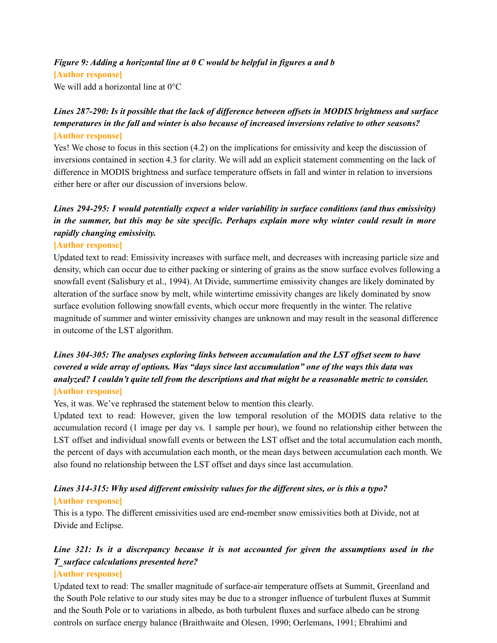## *Figure 9: Adding a horizontal line at 0 C would be helpful in figures a and b*

#### **[Author response]**

We will add a horizontal line at  $0^{\circ}$ C

## Lines 287-290: Is it possible that the lack of difference between offsets in MODIS brightness and surface *temperatures in the fall and winter is also because of increased inversions relative to other seasons?* **[Author response]**

Yes! We chose to focus in this section (4.2) on the implications for emissivity and keep the discussion of inversions contained in section 4.3 for clarity. We will add an explicit statement commenting on the lack of difference in MODIS brightness and surface temperature offsets in fall and winter in relation to inversions either here or after our discussion of inversions below.

## *Lines 294-295: I would potentially expect a wider variability in surface conditions (and thus emissivity) in the summer, but this may be site specific. Perhaps explain more why winter could result in more rapidly changing emissivity.*

#### **[Author response]**

Updated text to read: Emissivity increases with surface melt, and decreases with increasing particle size and density, which can occur due to either packing or sintering of grains as the snow surface evolves following a snowfall event (Salisbury et al., 1994). At Divide, summertime emissivity changes are likely dominated by alteration of the surface snow by melt, while wintertime emissivity changes are likely dominated by snow surface evolution following snowfall events, which occur more frequently in the winter. The relative magnitude of summer and winter emissivity changes are unknown and may result in the seasonal difference in outcome of the LST algorithm.

## *Lines 304-305: The analyses exploring links between accumulation and the LST of set seem to have covered a wide array of options. Was "days since last accumulation" one of the ways this data was analyzed? I couldn't quite tell from the descriptions and that might be a reasonable metric to consider.* **[Author response]**

Yes, it was. We've rephrased the statement below to mention this clearly.

Updated text to read: However, given the low temporal resolution of the MODIS data relative to the accumulation record (1 image per day vs. 1 sample per hour), we found no relationship either between the LST offset and individual snowfall events or between the LST offset and the total accumulation each month, the percent of days with accumulation each month, or the mean days between accumulation each month. We also found no relationship between the LST offset and days since last accumulation.

## *Lines 314-315: Why used dif erent emissivity values for the dif erent sites, or is this a typo?* **[Author response]**

This is a typo. The different emissivities used are end-member snow emissivities both at Divide, not at Divide and Eclipse.

## *Line 321: Is it a discrepancy because it is not accounted for given the assumptions used in the T\_surface calculations presented here?*

## **[Author response]**

Updated text to read: The smaller magnitude of surface-air temperature offsets at Summit, Greenland and the South Pole relative to our study sites may be due to a stronger influence of turbulent fluxes at Summit and the South Pole or to variations in albedo, as both turbulent fluxes and surface albedo can be strong controls on surface energy balance (Braithwaite and Olesen, 1990; Oerlemans, 1991; Ebrahimi and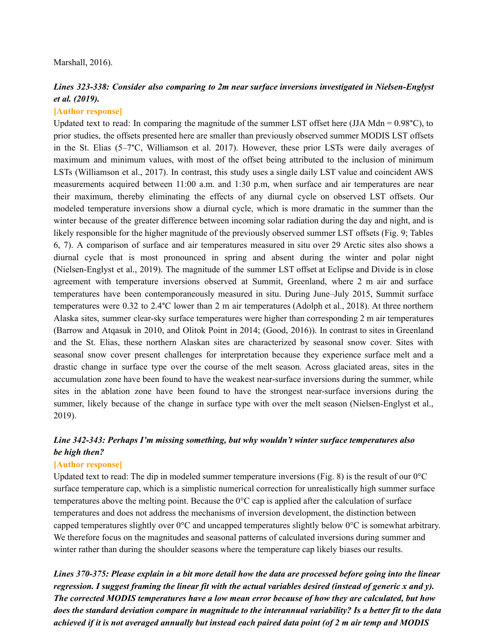#### Marshall, 2016).

## *Lines 323-338: Consider also comparing to 2m near surface inversions investigated in Nielsen-Englyst et al. (2019).*

#### **[Author response]**

Updated text to read: In comparing the magnitude of the summer LST offset here (JJA Mdn =  $0.98^{\circ}$ C), to prior studies, the offsets presented here are smaller than previously observed summer MODIS LST offsets in the St. Elias (5–7°C, Williamson et al. 2017). However, these prior LSTs were daily averages of maximum and minimum values, with most of the offset being attributed to the inclusion of minimum LSTs (Williamson et al., 2017). In contrast, this study uses a single daily LST value and coincident AWS measurements acquired between 11:00 a.m. and 1:30 p.m, when surface and air temperatures are near their maximum, thereby eliminating the effects of any diurnal cycle on observed LST offsets. Our modeled temperature inversions show a diurnal cycle, which is more dramatic in the summer than the winter because of the greater difference between incoming solar radiation during the day and night, and is likely responsible for the higher magnitude of the previously observed summer LST offsets (Fig. 9; Tables 6, 7). A comparison of surface and air temperatures measured in situ over 29 Arctic sites also shows a diurnal cycle that is most pronounced in spring and absent during the winter and polar night (Nielsen-Englyst et al., 2019). The magnitude of the summer LST offset at Eclipse and Divide is in close agreement with temperature inversions observed at Summit, Greenland, where 2 m air and surface temperatures have been contemporaneously measured in situ. During June–July 2015, Summit surface temperatures were 0.32 to 2.4°C lower than 2 m air temperatures (Adolph et al., 2018). At three northern Alaska sites, summer clear-sky surface temperatures were higher than corresponding 2 m air temperatures (Barrow and Atqasuk in 2010, and Olitok Point in 2014; (Good, 2016)). In contrast to sites in Greenland and the St. Elias, these northern Alaskan sites are characterized by seasonal snow cover. Sites with seasonal snow cover present challenges for interpretation because they experience surface melt and a drastic change in surface type over the course of the melt season. Across glaciated areas, sites in the accumulation zone have been found to have the weakest near-surface inversions during the summer, while sites in the ablation zone have been found to have the strongest near-surface inversions during the summer, likely because of the change in surface type with over the melt season (Nielsen-Englyst et al., 2019).

## *Line 342-343: Perhaps I'm missing something, but why wouldn't winter surface temperatures also be high then?*

## **[Author response]**

Updated text to read: The dip in modeled summer temperature inversions (Fig. 8) is the result of our  $0^{\circ}$ C surface temperature cap, which is a simplistic numerical correction for unrealistically high summer surface temperatures above the melting point. Because the 0°C cap is applied after the calculation of surface temperatures and does not address the mechanisms of inversion development, the distinction between capped temperatures slightly over 0°C and uncapped temperatures slightly below 0°C is somewhat arbitrary. We therefore focus on the magnitudes and seasonal patterns of calculated inversions during summer and winter rather than during the shoulder seasons where the temperature cap likely biases our results.

Lines 370-375; Please explain in a bit more detail how the data are processed before going into the linear regression. I suggest framing the linear fit with the actual variables desired (instead of generic x and y). *The corrected MODIS temperatures have a low mean error because of how they are calculated, but how* does the standard deviation compare in magnitude to the interannual variability? Is a better fit to the data achieved if it is not averaged annually but instead each paired data point (of 2 m air temp and MODIS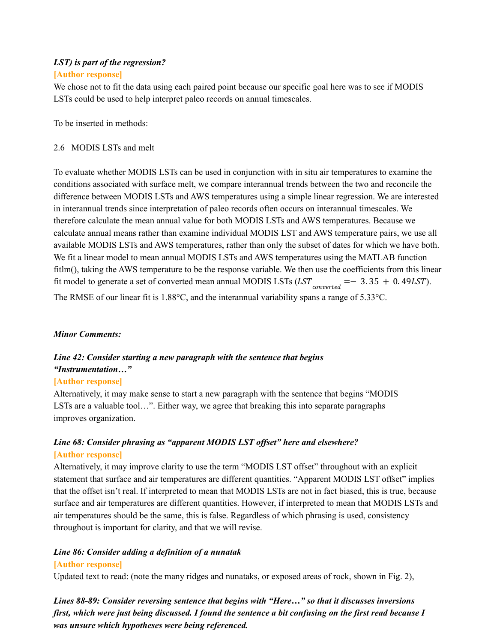## *LST) is part of the regression?* **[Author response]**

We chose not to fit the data using each paired point because our specific goal here was to see if MODIS LSTs could be used to help interpret paleo records on annual timescales.

To be inserted in methods:

## 2.6 MODIS LSTs and melt

To evaluate whether MODIS LSTs can be used in conjunction with in situ air temperatures to examine the conditions associated with surface melt, we compare interannual trends between the two and reconcile the difference between MODIS LSTs and AWS temperatures using a simple linear regression. We are interested in interannual trends since interpretation of paleo records often occurs on interannual timescales. We therefore calculate the mean annual value for both MODIS LSTs and AWS temperatures. Because we calculate annual means rather than examine individual MODIS LST and AWS temperature pairs, we use all available MODIS LSTs and AWS temperatures, rather than only the subset of dates for which we have both. We fit a linear model to mean annual MODIS LSTs and AWS temperatures using the MATLAB function fitlm(), taking the AWS temperature to be the response variable. We then use the coefficients from this linear fit model to generate a set of converted mean annual MODIS LSTs  $(LST_{converted} = -3.35 + 0.49LST)$ . The RMSE of our linear fit is 1.88°C, and the interannual variability spans a range of 5.33°C.

## *Minor Comments:*

# *Line 42: Consider starting a new paragraph with the sentence that begins "Instrumentation…"*

## **[Author response]**

Alternatively, it may make sense to start a new paragraph with the sentence that begins "MODIS LSTs are a valuable tool…". Either way, we agree that breaking this into separate paragraphs improves organization.

## *Line 68: Consider phrasing as "apparent MODIS LST of set" here and elsewhere?* **[Author response]**

Alternatively, it may improve clarity to use the term "MODIS LST offset" throughout with an explicit statement that surface and air temperatures are different quantities. "Apparent MODIS LST offset" implies that the offset isn't real. If interpreted to mean that MODIS LSTs are not in fact biased, this is true, because surface and air temperatures are different quantities. However, if interpreted to mean that MODIS LSTs and air temperatures should be the same, this is false. Regardless of which phrasing is used, consistency throughout is important for clarity, and that we will revise.

# *Line 86: Consider adding a definition of a nunatak*

## **[Author response]**

Updated text to read: (note the many ridges and nunataks, or exposed areas of rock, shown in Fig. 2),

*Lines 88-89: Consider reversing sentence that begins with "Here…" so that it discusses inversions* first, which were just being discussed. I found the sentence a bit confusing on the first read because I *was unsure which hypotheses were being referenced.*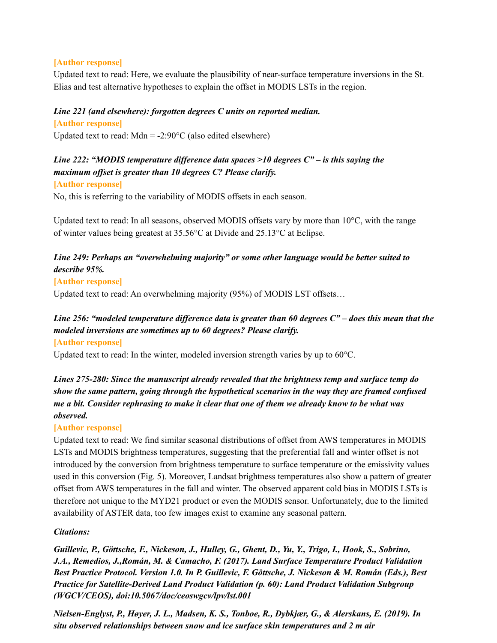#### **[Author response]**

Updated text to read: Here, we evaluate the plausibility of near-surface temperature inversions in the St. Elias and test alternative hypotheses to explain the offset in MODIS LSTs in the region.

## *Line 221 (and elsewhere): forgotten degrees C units on reported median.*

#### **[Author response]**

Updated text to read:  $Mdn = -2:90^{\circ}C$  (also edited elsewhere)

## *Line 222: "MODIS temperature dif erence data spaces >10 degrees C" – is this saying the maximum of set is greater than 10 degrees C? Please clarify.*

#### **[Author response]**

No, this is referring to the variability of MODIS offsets in each season.

Updated text to read: In all seasons, observed MODIS offsets vary by more than 10°C, with the range of winter values being greatest at 35.56°C at Divide and 25.13°C at Eclipse.

## *Line 249: Perhaps an "overwhelming majority" or some other language would be better suited to describe 95%.*

#### **[Author response]**

Updated text to read: An overwhelming majority (95%) of MODIS LST offsets…

# Line 256; "modeled temperature difference data is greater than 60 degrees  $C$ " – does this mean that the *modeled inversions are sometimes up to 60 degrees? Please clarify.*

#### **[Author response]**

Updated text to read: In the winter, modeled inversion strength varies by up to 60<sup>o</sup>C.

## *Lines 275-280: Since the manuscript already revealed that the brightness temp and surface temp do show the same pattern, going through the hypothetical scenarios in the way they are framed confused* me a bit. Consider rephrasing to make it clear that one of them we already know to be what was *observed.*

## **[Author response]**

Updated text to read: We find similar seasonal distributions of offset from AWS temperatures in MODIS LSTs and MODIS brightness temperatures, suggesting that the preferential fall and winter offset is not introduced by the conversion from brightness temperature to surface temperature or the emissivity values used in this conversion (Fig. 5). Moreover, Landsat brightness temperatures also show a pattern of greater offset from AWS temperatures in the fall and winter. The observed apparent cold bias in MODIS LSTs is therefore not unique to the MYD21 product or even the MODIS sensor. Unfortunately, due to the limited availability of ASTER data, too few images exist to examine any seasonal pattern.

## *Citations:*

*Guillevic, P., Göttsche, F., Nickeson, J., Hulley, G., Ghent, D., Yu, Y., Trigo, I., Hook, S., Sobrino, J.A., Remedios, J.,Román, M. & Camacho, F. (2017). Land Surface Temperature Product Validation Best Practice Protocol. Version 1.0. In P. Guillevic, F. Göttsche, J. Nickeson & M. Román (Eds.), Best Practice for Satellite-Derived Land Product Validation (p. 60): Land Product Validation Subgroup (WGCV/CEOS), doi:10.5067/doc/ceoswgcv/lpv/lst.001*

*Nielsen-Englyst, P., Høyer, J. L., Madsen, K. S., Tonboe, R., Dybkjær, G., & Alerskans, E. (2019). In situ observed relationships between snow and ice surface skin temperatures and 2 m air*